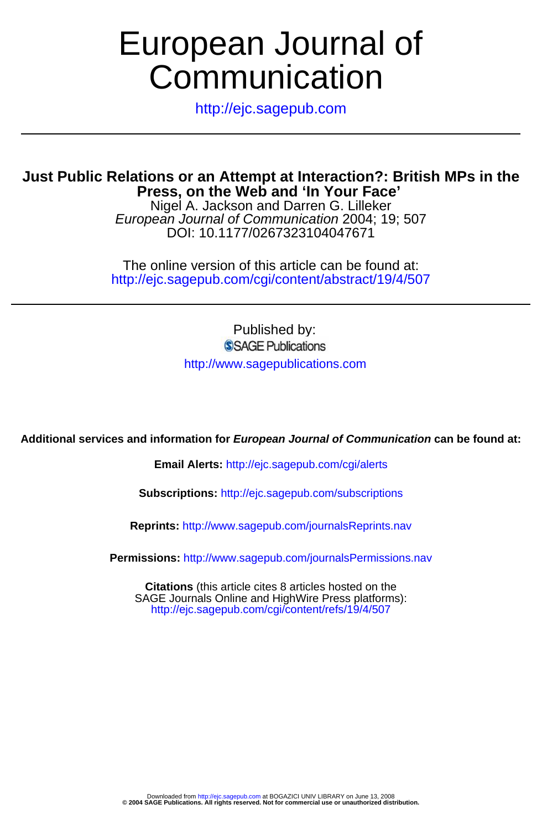# **Communication** European Journal of

http://ejc.sagepub.com

### **Press, on the Web and 'In Your Face' Just Public Relations or an Attempt at Interaction?: British MPs in the**

DOI: 10.1177/0267323104047671 European Journal of Communication 2004; 19; 507 Nigel A. Jackson and Darren G. Lilleker

http://ejc.sagepub.com/cgi/content/abstract/19/4/507 The online version of this article can be found at:

> Published by: SSAGE Publications http://www.sagepublications.com

**Additional services and information for European Journal of Communication can be found at:**

**Email Alerts:** <http://ejc.sagepub.com/cgi/alerts>

**Subscriptions:** <http://ejc.sagepub.com/subscriptions>

**Reprints:** <http://www.sagepub.com/journalsReprints.nav>

**Permissions:** <http://www.sagepub.com/journalsPermissions.nav>

<http://ejc.sagepub.com/cgi/content/refs/19/4/507> SAGE Journals Online and HighWire Press platforms): **Citations** (this article cites 8 articles hosted on the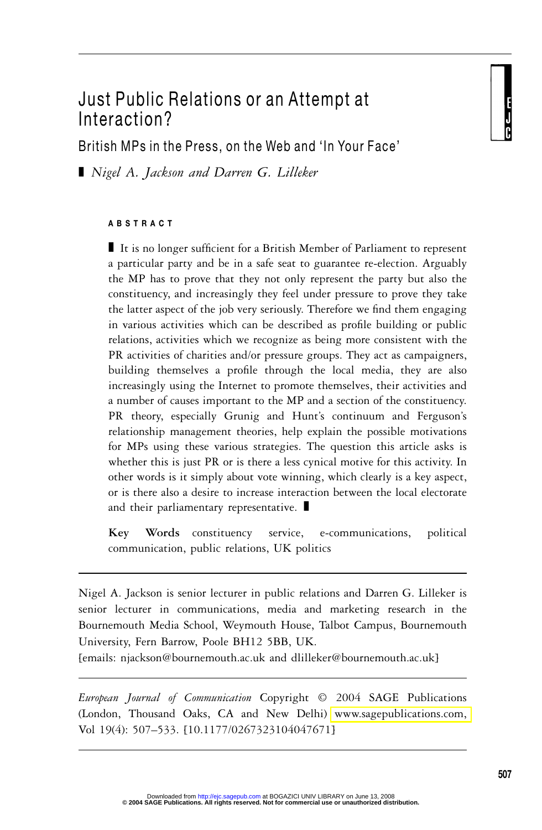## Just Public Relations or an Attempt at Interaction?

British MPs in the Press, on the Web and 'In Your Face'

■ *Nigel A. Jackson and Darren G. Lilleker* 

#### **ABSTRACT**

It is no longer sufficient for a British Member of Parliament to represent a particular party and be in a safe seat to guarantee re-election. Arguably the MP has to prove that they not only represent the party but also the constituency, and increasingly they feel under pressure to prove they take the latter aspect of the job very seriously. Therefore we find them engaging in various activities which can be described as profile building or public relations, activities which we recognize as being more consistent with the PR activities of charities and/or pressure groups. They act as campaigners, building themselves a profile through the local media, they are also increasingly using the Internet to promote themselves, their activities and a number of causes important to the MP and a section of the constituency. PR theory, especially Grunig and Hunt's continuum and Ferguson's relationship management theories, help explain the possible motivations for MPs using these various strategies. The question this article asks is whether this is just PR or is there a less cynical motive for this activity. In other words is it simply about vote winning, which clearly is a key aspect, or is there also a desire to increase interaction between the local electorate and their parliamentary representative.  $\blacksquare$ 

**Key Words** constituency service, e-communications, political communication, public relations, UK politics

Nigel A. Jackson is senior lecturer in public relations and Darren G. Lilleker is senior lecturer in communications, media and marketing research in the Bournemouth Media School, Weymouth House, Talbot Campus, Bournemouth University, Fern Barrow, Poole BH12 5BB, UK.

[emails: njackson@bournemouth.ac.uk and dlilleker@bournemouth.ac.uk]

*European Journal of Communication* Copyright © 2004 SAGE Publications (London, Thousand Oaks, CA and New Delhi) [www.sagepublications.com,](www.sagepublications.com) Vol 19(4): 507–533. [10.1177/0267323104047671]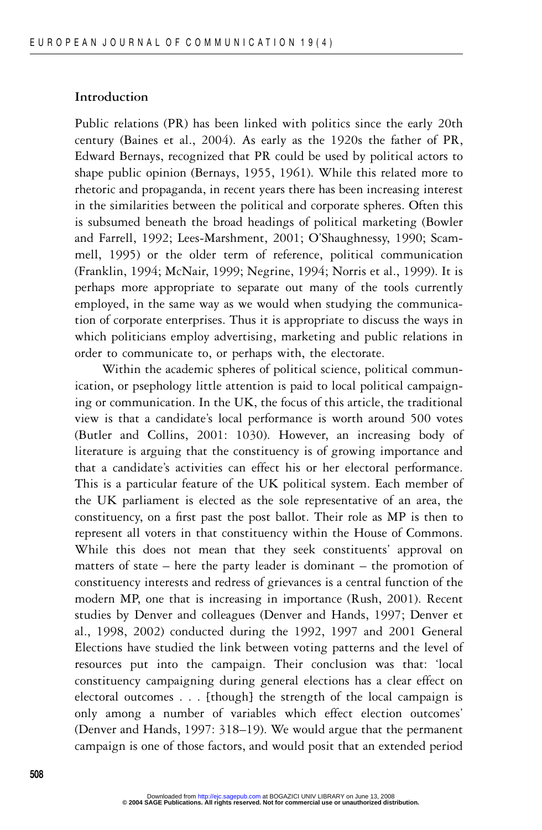#### **Introduction**

Public relations (PR) has been linked with politics since the early 20th century (Baines et al., 2004). As early as the 1920s the father of PR, Edward Bernays, recognized that PR could be used by political actors to shape public opinion (Bernays, 1955, 1961). While this related more to rhetoric and propaganda, in recent years there has been increasing interest in the similarities between the political and corporate spheres. Often this is subsumed beneath the broad headings of political marketing (Bowler and Farrell, 1992; Lees-Marshment, 2001; O'Shaughnessy, 1990; Scammell, 1995) or the older term of reference, political communication (Franklin, 1994; McNair, 1999; Negrine, 1994; Norris et al., 1999). It is perhaps more appropriate to separate out many of the tools currently employed, in the same way as we would when studying the communication of corporate enterprises. Thus it is appropriate to discuss the ways in which politicians employ advertising, marketing and public relations in order to communicate to, or perhaps with, the electorate.

Within the academic spheres of political science, political communication, or psephology little attention is paid to local political campaigning or communication. In the UK, the focus of this article, the traditional view is that a candidate's local performance is worth around 500 votes (Butler and Collins, 2001: 1030). However, an increasing body of literature is arguing that the constituency is of growing importance and that a candidate's activities can effect his or her electoral performance. This is a particular feature of the UK political system. Each member of the UK parliament is elected as the sole representative of an area, the constituency, on a first past the post ballot. Their role as MP is then to represent all voters in that constituency within the House of Commons. While this does not mean that they seek constituents' approval on matters of state – here the party leader is dominant – the promotion of constituency interests and redress of grievances is a central function of the modern MP, one that is increasing in importance (Rush, 2001). Recent studies by Denver and colleagues (Denver and Hands, 1997; Denver et al., 1998, 2002) conducted during the 1992, 1997 and 2001 General Elections have studied the link between voting patterns and the level of resources put into the campaign. Their conclusion was that: 'local constituency campaigning during general elections has a clear effect on electoral outcomes . . . [though] the strength of the local campaign is only among a number of variables which effect election outcomes' (Denver and Hands, 1997: 318–19). We would argue that the permanent campaign is one of those factors, and would posit that an extended period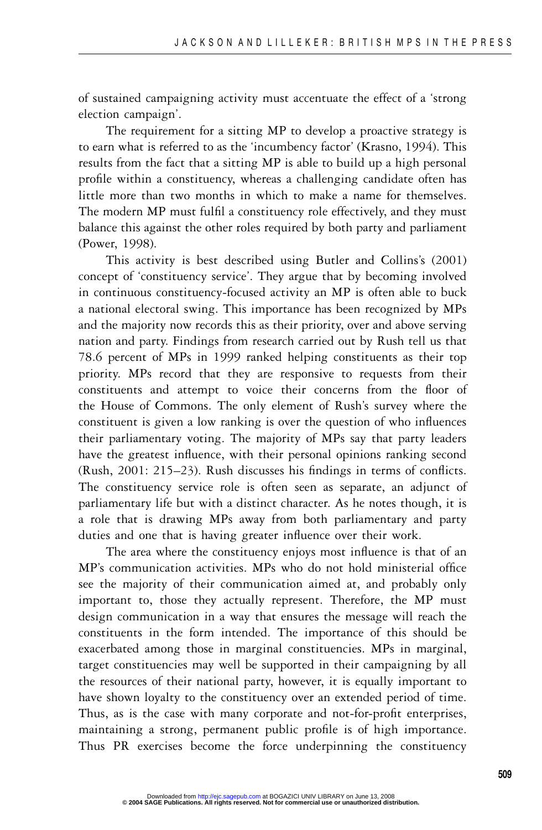of sustained campaigning activity must accentuate the effect of a 'strong election campaign'.

The requirement for a sitting MP to develop a proactive strategy is to earn what is referred to as the 'incumbency factor' (Krasno, 1994). This results from the fact that a sitting MP is able to build up a high personal profile within a constituency, whereas a challenging candidate often has little more than two months in which to make a name for themselves. The modern MP must fulfil a constituency role effectively, and they must balance this against the other roles required by both party and parliament (Power, 1998).

This activity is best described using Butler and Collins's (2001) concept of 'constituency service'. They argue that by becoming involved in continuous constituency-focused activity an MP is often able to buck a national electoral swing. This importance has been recognized by MPs and the majority now records this as their priority, over and above serving nation and party. Findings from research carried out by Rush tell us that 78.6 percent of MPs in 1999 ranked helping constituents as their top priority. MPs record that they are responsive to requests from their constituents and attempt to voice their concerns from the floor of the House of Commons. The only element of Rush's survey where the constituent is given a low ranking is over the question of who influences their parliamentary voting. The majority of MPs say that party leaders have the greatest influence, with their personal opinions ranking second (Rush, 2001: 215–23). Rush discusses his findings in terms of conflicts. The constituency service role is often seen as separate, an adjunct of parliamentary life but with a distinct character. As he notes though, it is a role that is drawing MPs away from both parliamentary and party duties and one that is having greater influence over their work.

The area where the constituency enjoys most influence is that of an MP's communication activities. MPs who do not hold ministerial office see the majority of their communication aimed at, and probably only important to, those they actually represent. Therefore, the MP must design communication in a way that ensures the message will reach the constituents in the form intended. The importance of this should be exacerbated among those in marginal constituencies. MPs in marginal, target constituencies may well be supported in their campaigning by all the resources of their national party, however, it is equally important to have shown loyalty to the constituency over an extended period of time. Thus, as is the case with many corporate and not-for-profit enterprises, maintaining a strong, permanent public profile is of high importance. Thus PR exercises become the force underpinning the constituency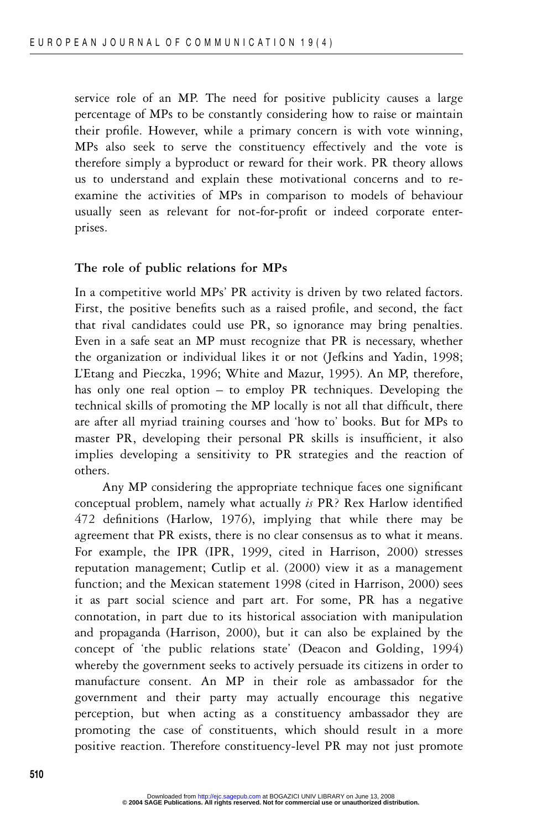service role of an MP. The need for positive publicity causes a large percentage of MPs to be constantly considering how to raise or maintain their profile. However, while a primary concern is with vote winning, MPs also seek to serve the constituency effectively and the vote is therefore simply a byproduct or reward for their work. PR theory allows us to understand and explain these motivational concerns and to reexamine the activities of MPs in comparison to models of behaviour usually seen as relevant for not-for-profit or indeed corporate enterprises.

#### **The role of public relations for MPs**

In a competitive world MPs' PR activity is driven by two related factors. First, the positive benefits such as a raised profile, and second, the fact that rival candidates could use PR, so ignorance may bring penalties. Even in a safe seat an MP must recognize that PR is necessary, whether the organization or individual likes it or not (Jefkins and Yadin, 1998; L'Etang and Pieczka, 1996; White and Mazur, 1995). An MP, therefore, has only one real option – to employ PR techniques. Developing the technical skills of promoting the MP locally is not all that difficult, there are after all myriad training courses and 'how to' books. But for MPs to master PR, developing their personal PR skills is insufficient, it also implies developing a sensitivity to PR strategies and the reaction of others.

Any MP considering the appropriate technique faces one significant conceptual problem, namely what actually *is* PR? Rex Harlow identified 472 definitions (Harlow, 1976), implying that while there may be agreement that PR exists, there is no clear consensus as to what it means. For example, the IPR (IPR, 1999, cited in Harrison, 2000) stresses reputation management; Cutlip et al. (2000) view it as a management function; and the Mexican statement 1998 (cited in Harrison, 2000) sees it as part social science and part art. For some, PR has a negative connotation, in part due to its historical association with manipulation and propaganda (Harrison, 2000), but it can also be explained by the concept of 'the public relations state' (Deacon and Golding, 1994) whereby the government seeks to actively persuade its citizens in order to manufacture consent. An MP in their role as ambassador for the government and their party may actually encourage this negative perception, but when acting as a constituency ambassador they are promoting the case of constituents, which should result in a more positive reaction. Therefore constituency-level PR may not just promote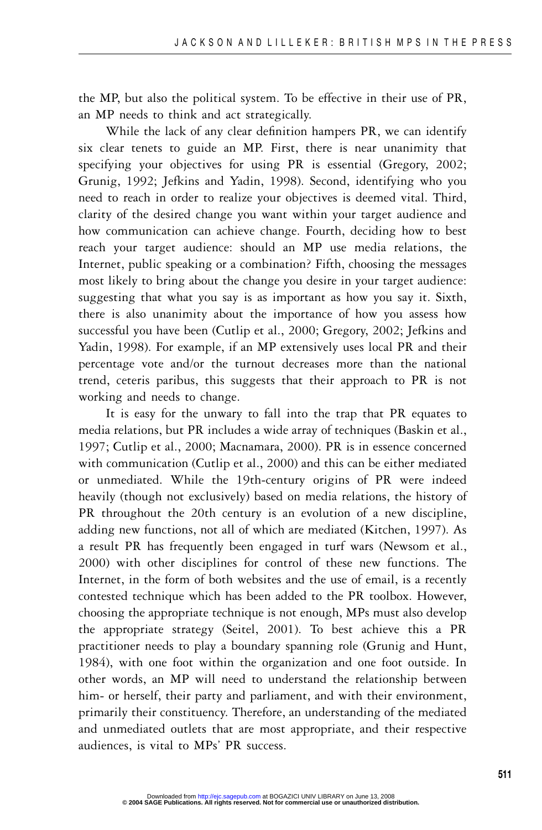the MP, but also the political system. To be effective in their use of PR, an MP needs to think and act strategically.

While the lack of any clear definition hampers PR, we can identify six clear tenets to guide an MP. First, there is near unanimity that specifying your objectives for using PR is essential (Gregory, 2002; Grunig, 1992; Jefkins and Yadin, 1998). Second, identifying who you need to reach in order to realize your objectives is deemed vital. Third, clarity of the desired change you want within your target audience and how communication can achieve change. Fourth, deciding how to best reach your target audience: should an MP use media relations, the Internet, public speaking or a combination? Fifth, choosing the messages most likely to bring about the change you desire in your target audience: suggesting that what you say is as important as how you say it. Sixth, there is also unanimity about the importance of how you assess how successful you have been (Cutlip et al., 2000; Gregory, 2002; Jefkins and Yadin, 1998). For example, if an MP extensively uses local PR and their percentage vote and/or the turnout decreases more than the national trend, ceteris paribus, this suggests that their approach to PR is not working and needs to change.

It is easy for the unwary to fall into the trap that PR equates to media relations, but PR includes a wide array of techniques (Baskin et al., 1997; Cutlip et al., 2000; Macnamara, 2000). PR is in essence concerned with communication (Cutlip et al., 2000) and this can be either mediated or unmediated. While the 19th-century origins of PR were indeed heavily (though not exclusively) based on media relations, the history of PR throughout the 20th century is an evolution of a new discipline, adding new functions, not all of which are mediated (Kitchen, 1997). As a result PR has frequently been engaged in turf wars (Newsom et al., 2000) with other disciplines for control of these new functions. The Internet, in the form of both websites and the use of email, is a recently contested technique which has been added to the PR toolbox. However, choosing the appropriate technique is not enough, MPs must also develop the appropriate strategy (Seitel, 2001). To best achieve this a PR practitioner needs to play a boundary spanning role (Grunig and Hunt, 1984), with one foot within the organization and one foot outside. In other words, an MP will need to understand the relationship between him- or herself, their party and parliament, and with their environment, primarily their constituency. Therefore, an understanding of the mediated and unmediated outlets that are most appropriate, and their respective audiences, is vital to MPs' PR success.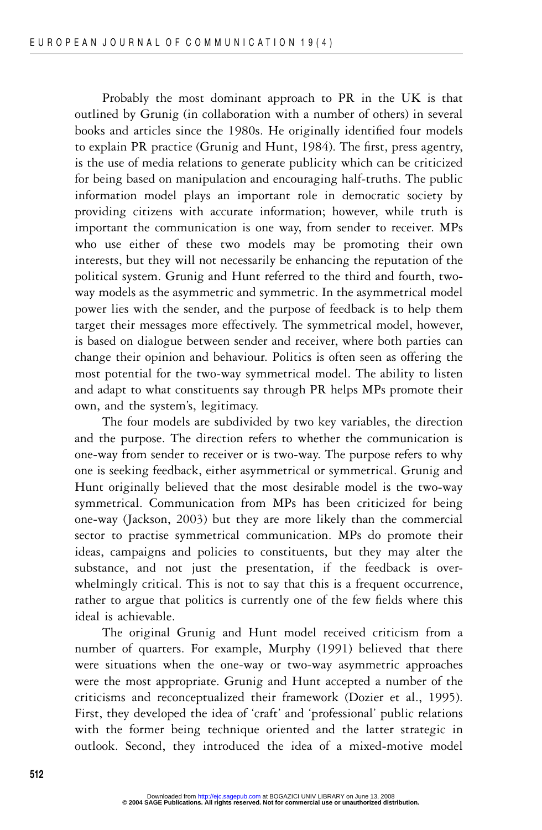Probably the most dominant approach to PR in the UK is that outlined by Grunig (in collaboration with a number of others) in several books and articles since the 1980s. He originally identified four models to explain PR practice (Grunig and Hunt, 1984). The first, press agentry, is the use of media relations to generate publicity which can be criticized for being based on manipulation and encouraging half-truths. The public information model plays an important role in democratic society by providing citizens with accurate information; however, while truth is important the communication is one way, from sender to receiver. MPs who use either of these two models may be promoting their own interests, but they will not necessarily be enhancing the reputation of the political system. Grunig and Hunt referred to the third and fourth, twoway models as the asymmetric and symmetric. In the asymmetrical model power lies with the sender, and the purpose of feedback is to help them target their messages more effectively. The symmetrical model, however, is based on dialogue between sender and receiver, where both parties can change their opinion and behaviour. Politics is often seen as offering the most potential for the two-way symmetrical model. The ability to listen and adapt to what constituents say through PR helps MPs promote their own, and the system's, legitimacy.

The four models are subdivided by two key variables, the direction and the purpose. The direction refers to whether the communication is one-way from sender to receiver or is two-way. The purpose refers to why one is seeking feedback, either asymmetrical or symmetrical. Grunig and Hunt originally believed that the most desirable model is the two-way symmetrical. Communication from MPs has been criticized for being one-way (Jackson, 2003) but they are more likely than the commercial sector to practise symmetrical communication. MPs do promote their ideas, campaigns and policies to constituents, but they may alter the substance, and not just the presentation, if the feedback is overwhelmingly critical. This is not to say that this is a frequent occurrence, rather to argue that politics is currently one of the few fields where this ideal is achievable.

The original Grunig and Hunt model received criticism from a number of quarters. For example, Murphy (1991) believed that there were situations when the one-way or two-way asymmetric approaches were the most appropriate. Grunig and Hunt accepted a number of the criticisms and reconceptualized their framework (Dozier et al., 1995). First, they developed the idea of 'craft' and 'professional' public relations with the former being technique oriented and the latter strategic in outlook. Second, they introduced the idea of a mixed-motive model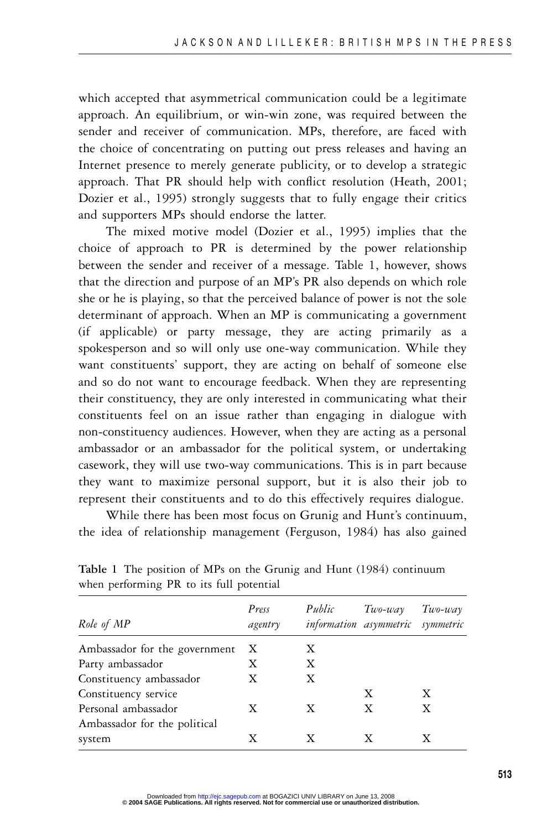which accepted that asymmetrical communication could be a legitimate approach. An equilibrium, or win-win zone, was required between the sender and receiver of communication. MPs, therefore, are faced with the choice of concentrating on putting out press releases and having an Internet presence to merely generate publicity, or to develop a strategic approach. That PR should help with conflict resolution (Heath, 2001; Dozier et al., 1995) strongly suggests that to fully engage their critics and supporters MPs should endorse the latter.

The mixed motive model (Dozier et al., 1995) implies that the choice of approach to PR is determined by the power relationship between the sender and receiver of a message. Table 1, however, shows that the direction and purpose of an MP's PR also depends on which role she or he is playing, so that the perceived balance of power is not the sole determinant of approach. When an MP is communicating a government (if applicable) or party message, they are acting primarily as a spokesperson and so will only use one-way communication. While they want constituents' support, they are acting on behalf of someone else and so do not want to encourage feedback. When they are representing their constituency, they are only interested in communicating what their constituents feel on an issue rather than engaging in dialogue with non-constituency audiences. However, when they are acting as a personal ambassador or an ambassador for the political system, or undertaking casework, they will use two-way communications. This is in part because they want to maximize personal support, but it is also their job to represent their constituents and to do this effectively requires dialogue.

While there has been most focus on Grunig and Hunt's continuum, the idea of relationship management (Ferguson, 1984) has also gained

| Role of MP                                          | Press<br>agentry | Public<br>information asymmetric symmetric | $Two$ -way | $Two$ -way |
|-----------------------------------------------------|------------------|--------------------------------------------|------------|------------|
| Ambassador for the government                       | X                | X                                          |            |            |
| Party ambassador                                    | X                | X                                          |            |            |
| Constituency ambassador                             | X                | X                                          |            |            |
| Constituency service                                |                  |                                            | X          | X          |
| Personal ambassador<br>Ambassador for the political | X                | X                                          | X          | X          |
| system                                              |                  |                                            |            |            |

**Table 1** The position of MPs on the Grunig and Hunt (1984) continuum when performing PR to its full potential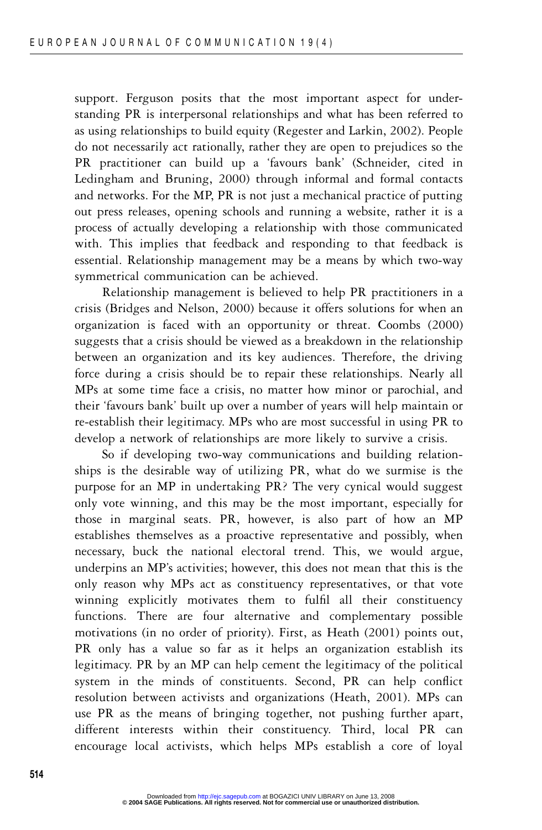support. Ferguson posits that the most important aspect for understanding PR is interpersonal relationships and what has been referred to as using relationships to build equity (Regester and Larkin, 2002). People do not necessarily act rationally, rather they are open to prejudices so the PR practitioner can build up a 'favours bank' (Schneider, cited in Ledingham and Bruning, 2000) through informal and formal contacts and networks. For the MP, PR is not just a mechanical practice of putting out press releases, opening schools and running a website, rather it is a process of actually developing a relationship with those communicated with. This implies that feedback and responding to that feedback is essential. Relationship management may be a means by which two-way symmetrical communication can be achieved.

Relationship management is believed to help PR practitioners in a crisis (Bridges and Nelson, 2000) because it offers solutions for when an organization is faced with an opportunity or threat. Coombs (2000) suggests that a crisis should be viewed as a breakdown in the relationship between an organization and its key audiences. Therefore, the driving force during a crisis should be to repair these relationships. Nearly all MPs at some time face a crisis, no matter how minor or parochial, and their 'favours bank' built up over a number of years will help maintain or re-establish their legitimacy. MPs who are most successful in using PR to develop a network of relationships are more likely to survive a crisis.

So if developing two-way communications and building relationships is the desirable way of utilizing PR, what do we surmise is the purpose for an MP in undertaking PR? The very cynical would suggest only vote winning, and this may be the most important, especially for those in marginal seats. PR, however, is also part of how an MP establishes themselves as a proactive representative and possibly, when necessary, buck the national electoral trend. This, we would argue, underpins an MP's activities; however, this does not mean that this is the only reason why MPs act as constituency representatives, or that vote winning explicitly motivates them to fulfil all their constituency functions. There are four alternative and complementary possible motivations (in no order of priority). First, as Heath (2001) points out, PR only has a value so far as it helps an organization establish its legitimacy. PR by an MP can help cement the legitimacy of the political system in the minds of constituents. Second, PR can help conflict resolution between activists and organizations (Heath, 2001). MPs can use PR as the means of bringing together, not pushing further apart, different interests within their constituency. Third, local PR can encourage local activists, which helps MPs establish a core of loyal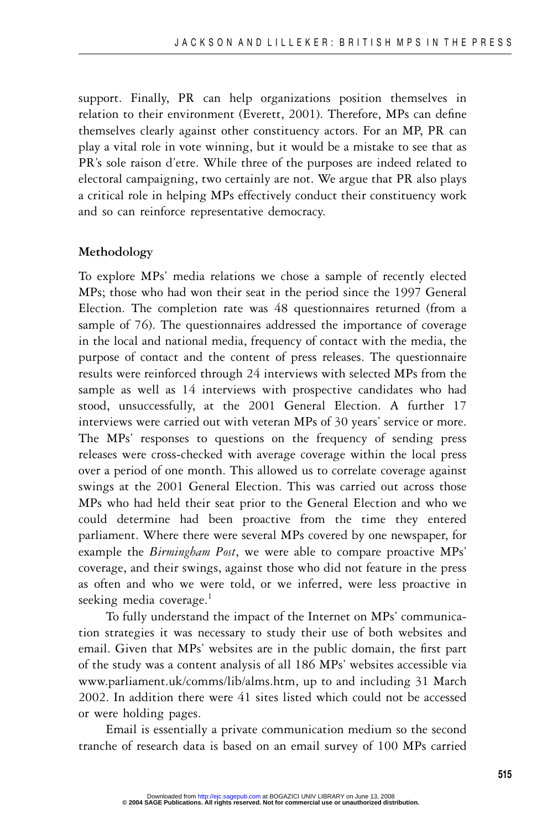support. Finally, PR can help organizations position themselves in relation to their environment (Everett, 2001). Therefore, MPs can define themselves clearly against other constituency actors. For an MP, PR can play a vital role in vote winning, but it would be a mistake to see that as PR's sole raison d'etre. While three of the purposes are indeed related to electoral campaigning, two certainly are not. We argue that PR also plays a critical role in helping MPs effectively conduct their constituency work and so can reinforce representative democracy.

#### **Methodology**

To explore MPs' media relations we chose a sample of recently elected MPs; those who had won their seat in the period since the 1997 General Election. The completion rate was 48 questionnaires returned (from a sample of 76). The questionnaires addressed the importance of coverage in the local and national media, frequency of contact with the media, the purpose of contact and the content of press releases. The questionnaire results were reinforced through 24 interviews with selected MPs from the sample as well as 14 interviews with prospective candidates who had stood, unsuccessfully, at the 2001 General Election. A further 17 interviews were carried out with veteran MPs of 30 years' service or more. The MPs' responses to questions on the frequency of sending press releases were cross-checked with average coverage within the local press over a period of one month. This allowed us to correlate coverage against swings at the 2001 General Election. This was carried out across those MPs who had held their seat prior to the General Election and who we could determine had been proactive from the time they entered parliament. Where there were several MPs covered by one newspaper, for example the *Birmingham Post*, we were able to compare proactive MPs' coverage, and their swings, against those who did not feature in the press as often and who we were told, or we inferred, were less proactive in seeking media coverage. $<sup>1</sup>$ </sup>

To fully understand the impact of the Internet on MPs' communication strategies it was necessary to study their use of both websites and email. Given that MPs' websites are in the public domain, the first part of the study was a content analysis of all 186 MPs' websites accessible via www.parliament.uk/comms/lib/alms.htm, up to and including 31 March 2002. In addition there were 41 sites listed which could not be accessed or were holding pages.

Email is essentially a private communication medium so the second tranche of research data is based on an email survey of 100 MPs carried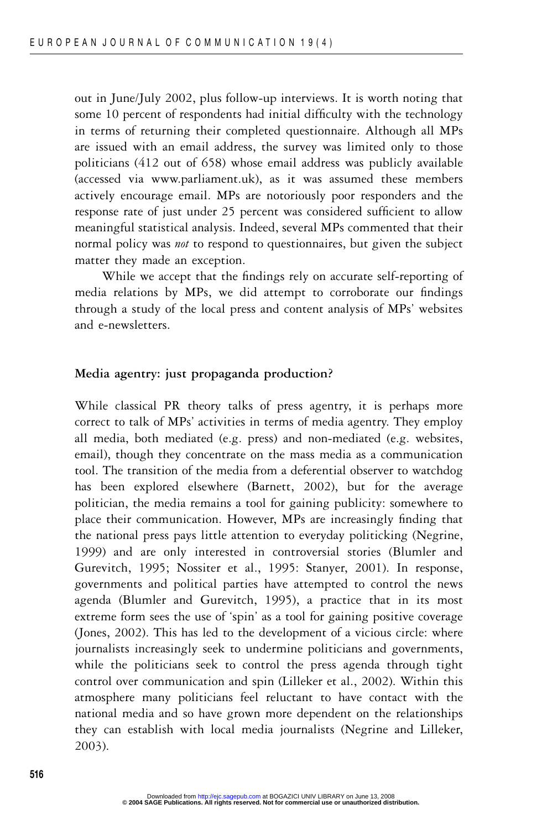out in June/July 2002, plus follow-up interviews. It is worth noting that some 10 percent of respondents had initial difficulty with the technology in terms of returning their completed questionnaire. Although all MPs are issued with an email address, the survey was limited only to those politicians (412 out of 658) whose email address was publicly available (accessed via www.parliament.uk), as it was assumed these members actively encourage email. MPs are notoriously poor responders and the response rate of just under 25 percent was considered sufficient to allow meaningful statistical analysis. Indeed, several MPs commented that their normal policy was *not* to respond to questionnaires, but given the subject matter they made an exception.

While we accept that the findings rely on accurate self-reporting of media relations by MPs, we did attempt to corroborate our findings through a study of the local press and content analysis of MPs' websites and e-newsletters.

#### **Media agentry: just propaganda production?**

While classical PR theory talks of press agentry, it is perhaps more correct to talk of MPs' activities in terms of media agentry. They employ all media, both mediated (e.g. press) and non-mediated (e.g. websites, email), though they concentrate on the mass media as a communication tool. The transition of the media from a deferential observer to watchdog has been explored elsewhere (Barnett, 2002), but for the average politician, the media remains a tool for gaining publicity: somewhere to place their communication. However, MPs are increasingly finding that the national press pays little attention to everyday politicking (Negrine, 1999) and are only interested in controversial stories (Blumler and Gurevitch, 1995; Nossiter et al., 1995: Stanyer, 2001). In response, governments and political parties have attempted to control the news agenda (Blumler and Gurevitch, 1995), a practice that in its most extreme form sees the use of 'spin' as a tool for gaining positive coverage (Jones, 2002). This has led to the development of a vicious circle: where journalists increasingly seek to undermine politicians and governments, while the politicians seek to control the press agenda through tight control over communication and spin (Lilleker et al., 2002). Within this atmosphere many politicians feel reluctant to have contact with the national media and so have grown more dependent on the relationships they can establish with local media journalists (Negrine and Lilleker, 2003).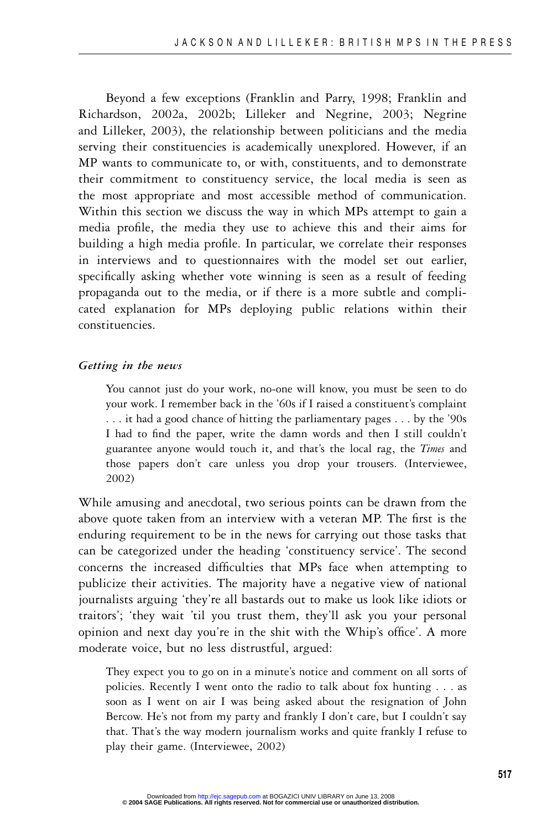Beyond a few exceptions (Franklin and Parry, 1998; Franklin and Richardson, 2002a, 2002b; Lilleker and Negrine, 2003; Negrine and Lilleker, 2003), the relationship between politicians and the media serving their constituencies is academically unexplored. However, if an MP wants to communicate to, or with, constituents, and to demonstrate their commitment to constituency service, the local media is seen as the most appropriate and most accessible method of communication. Within this section we discuss the way in which MPs attempt to gain a media profile, the media they use to achieve this and their aims for building a high media profile. In particular, we correlate their responses in interviews and to questionnaires with the model set out earlier, specifically asking whether vote winning is seen as a result of feeding propaganda out to the media, or if there is a more subtle and complicated explanation for MPs deploying public relations within their constituencies.

#### *Getting in the news*

You cannot just do your work, no-one will know, you must be seen to do your work. I remember back in the '60s if I raised a constituent's complaint . . . it had a good chance of hitting the parliamentary pages . . . by the '90s I had to find the paper, write the damn words and then I still couldn't guarantee anyone would touch it, and that's the local rag, the *Times* and those papers don't care unless you drop your trousers. (Interviewee, 2002)

While amusing and anecdotal, two serious points can be drawn from the above quote taken from an interview with a veteran MP. The first is the enduring requirement to be in the news for carrying out those tasks that can be categorized under the heading 'constituency service'. The second concerns the increased difficulties that MPs face when attempting to publicize their activities. The majority have a negative view of national journalists arguing 'they're all bastards out to make us look like idiots or traitors'; 'they wait 'til you trust them, they'll ask you your personal opinion and next day you're in the shit with the Whip's office'. A more moderate voice, but no less distrustful, argued:

They expect you to go on in a minute's notice and comment on all sorts of policies. Recently I went onto the radio to talk about fox hunting . . . as soon as I went on air I was being asked about the resignation of John Bercow. He's not from my party and frankly I don't care, but I couldn't say that. That's the way modern journalism works and quite frankly I refuse to play their game. (Interviewee, 2002)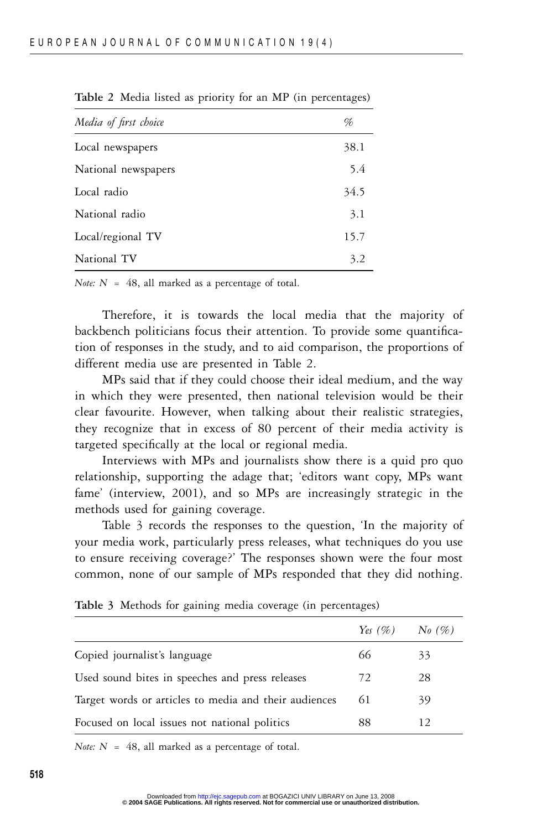| Media of first choice | %    |
|-----------------------|------|
| Local newspapers      | 38.1 |
| National newspapers   | 5.4  |
| Local radio           | 34.5 |
| National radio        | 3.1  |
| Local/regional TV     | 15.7 |
| National TV           | 3.2  |

**Table 2** Media listed as priority for an MP (in percentages)

*Note: N* = 48, all marked as a percentage of total.

Therefore, it is towards the local media that the majority of backbench politicians focus their attention. To provide some quantification of responses in the study, and to aid comparison, the proportions of different media use are presented in Table 2.

MPs said that if they could choose their ideal medium, and the way in which they were presented, then national television would be their clear favourite. However, when talking about their realistic strategies, they recognize that in excess of 80 percent of their media activity is targeted specifically at the local or regional media.

Interviews with MPs and journalists show there is a quid pro quo relationship, supporting the adage that; 'editors want copy, MPs want fame' (interview, 2001), and so MPs are increasingly strategic in the methods used for gaining coverage.

Table 3 records the responses to the question, 'In the majority of your media work, particularly press releases, what techniques do you use to ensure receiving coverage?' The responses shown were the four most common, none of our sample of MPs responded that they did nothing.

|                                                       | Yes $(%$ | No (%) |
|-------------------------------------------------------|----------|--------|
| Copied journalist's language                          | 66       | 33     |
| Used sound bites in speeches and press releases       | 72       | 28     |
| Target words or articles to media and their audiences | 61       | 39     |
| Focused on local issues not national politics         | 88       | 12     |

**Table 3** Methods for gaining media coverage (in percentages)

*Note:*  $N = 48$ , all marked as a percentage of total.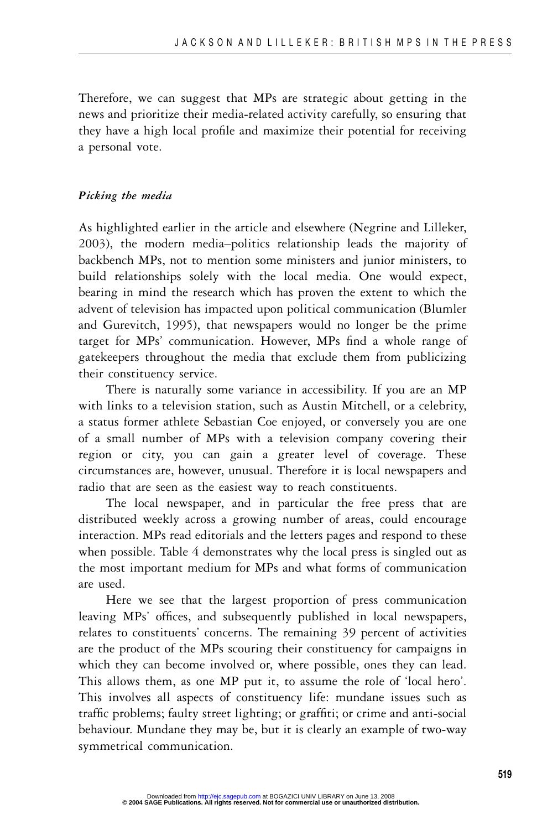Therefore, we can suggest that MPs are strategic about getting in the news and prioritize their media-related activity carefully, so ensuring that they have a high local profile and maximize their potential for receiving a personal vote.

#### *Picking the media*

As highlighted earlier in the article and elsewhere (Negrine and Lilleker, 2003), the modern media–politics relationship leads the majority of backbench MPs, not to mention some ministers and junior ministers, to build relationships solely with the local media. One would expect, bearing in mind the research which has proven the extent to which the advent of television has impacted upon political communication (Blumler and Gurevitch, 1995), that newspapers would no longer be the prime target for MPs' communication. However, MPs find a whole range of gatekeepers throughout the media that exclude them from publicizing their constituency service.

There is naturally some variance in accessibility. If you are an MP with links to a television station, such as Austin Mitchell, or a celebrity, a status former athlete Sebastian Coe enjoyed, or conversely you are one of a small number of MPs with a television company covering their region or city, you can gain a greater level of coverage. These circumstances are, however, unusual. Therefore it is local newspapers and radio that are seen as the easiest way to reach constituents.

The local newspaper, and in particular the free press that are distributed weekly across a growing number of areas, could encourage interaction. MPs read editorials and the letters pages and respond to these when possible. Table 4 demonstrates why the local press is singled out as the most important medium for MPs and what forms of communication are used.

Here we see that the largest proportion of press communication leaving MPs' offices, and subsequently published in local newspapers, relates to constituents' concerns. The remaining 39 percent of activities are the product of the MPs scouring their constituency for campaigns in which they can become involved or, where possible, ones they can lead. This allows them, as one MP put it, to assume the role of 'local hero'. This involves all aspects of constituency life: mundane issues such as traffic problems; faulty street lighting; or graffiti; or crime and anti-social behaviour. Mundane they may be, but it is clearly an example of two-way symmetrical communication.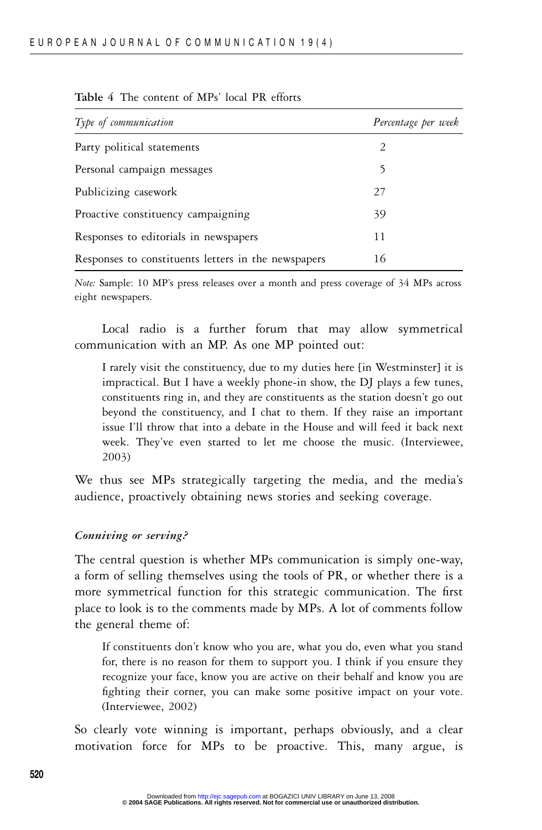| Type of communication                               | Percentage per week |
|-----------------------------------------------------|---------------------|
| Party political statements                          | $\mathcal{P}$       |
| Personal campaign messages                          | 5                   |
| Publicizing casework                                | 27                  |
| Proactive constituency campaigning                  | 39                  |
| Responses to editorials in newspapers               | 11                  |
| Responses to constituents letters in the newspapers | 16                  |

#### **Table 4** The content of MPs' local PR efforts

*Note:* Sample: 10 MP's press releases over a month and press coverage of 34 MPs across eight newspapers.

Local radio is a further forum that may allow symmetrical communication with an MP. As one MP pointed out:

I rarely visit the constituency, due to my duties here [in Westminster] it is impractical. But I have a weekly phone-in show, the DJ plays a few tunes, constituents ring in, and they are constituents as the station doesn't go out beyond the constituency, and I chat to them. If they raise an important issue I'll throw that into a debate in the House and will feed it back next week. They've even started to let me choose the music. (Interviewee, 2003)

We thus see MPs strategically targeting the media, and the media's audience, proactively obtaining news stories and seeking coverage.

#### *Conniving or serving?*

The central question is whether MPs communication is simply one-way, a form of selling themselves using the tools of PR, or whether there is a more symmetrical function for this strategic communication. The first place to look is to the comments made by MPs. A lot of comments follow the general theme of:

If constituents don't know who you are, what you do, even what you stand for, there is no reason for them to support you. I think if you ensure they recognize your face, know you are active on their behalf and know you are fighting their corner, you can make some positive impact on your vote. (Interviewee, 2002)

So clearly vote winning is important, perhaps obviously, and a clear motivation force for MPs to be proactive. This, many argue, is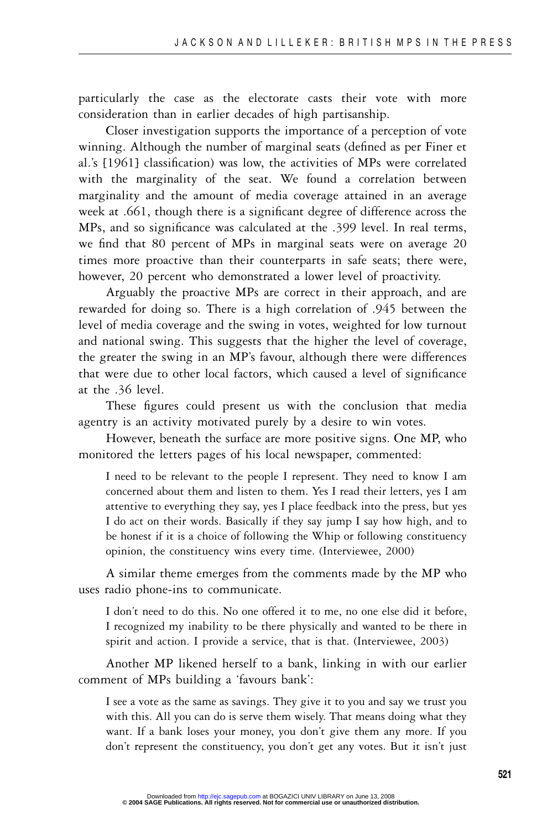particularly the case as the electorate casts their vote with more consideration than in earlier decades of high partisanship.

Closer investigation supports the importance of a perception of vote winning. Although the number of marginal seats (defined as per Finer et al.'s [1961] classification) was low, the activities of MPs were correlated with the marginality of the seat. We found a correlation between marginality and the amount of media coverage attained in an average week at .661, though there is a significant degree of difference across the MPs, and so significance was calculated at the .399 level. In real terms, we find that 80 percent of MPs in marginal seats were on average 20 times more proactive than their counterparts in safe seats; there were, however, 20 percent who demonstrated a lower level of proactivity.

Arguably the proactive MPs are correct in their approach, and are rewarded for doing so. There is a high correlation of .945 between the level of media coverage and the swing in votes, weighted for low turnout and national swing. This suggests that the higher the level of coverage, the greater the swing in an MP's favour, although there were differences that were due to other local factors, which caused a level of significance at the .36 level.

These figures could present us with the conclusion that media agentry is an activity motivated purely by a desire to win votes.

However, beneath the surface are more positive signs. One MP, who monitored the letters pages of his local newspaper, commented:

I need to be relevant to the people I represent. They need to know I am concerned about them and listen to them. Yes I read their letters, yes I am attentive to everything they say, yes I place feedback into the press, but yes I do act on their words. Basically if they say jump I say how high, and to be honest if it is a choice of following the Whip or following constituency opinion, the constituency wins every time. (Interviewee, 2000)

A similar theme emerges from the comments made by the MP who uses radio phone-ins to communicate.

I don't need to do this. No one offered it to me, no one else did it before, I recognized my inability to be there physically and wanted to be there in spirit and action. I provide a service, that is that. (Interviewee, 2003)

Another MP likened herself to a bank, linking in with our earlier comment of MPs building a 'favours bank':

I see a vote as the same as savings. They give it to you and say we trust you with this. All you can do is serve them wisely. That means doing what they want. If a bank loses your money, you don't give them any more. If you don't represent the constituency, you don't get any votes. But it isn't just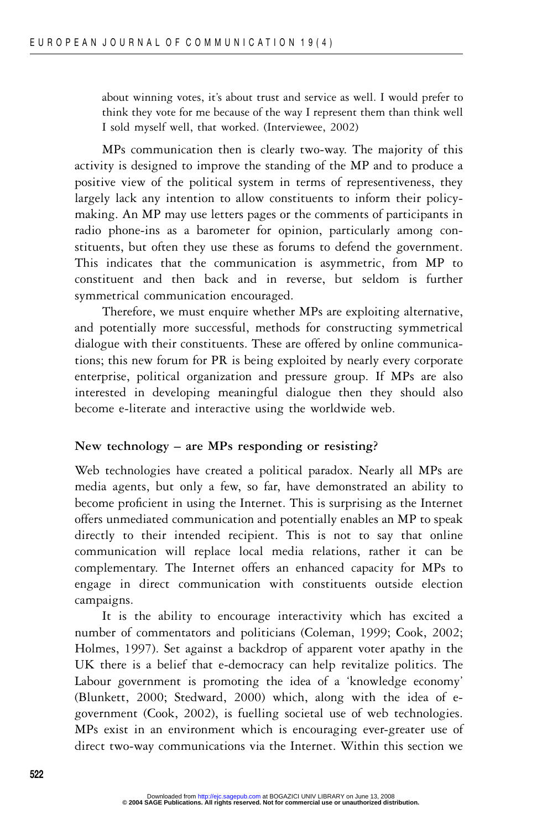about winning votes, it's about trust and service as well. I would prefer to think they vote for me because of the way I represent them than think well I sold myself well, that worked. (Interviewee, 2002)

MPs communication then is clearly two-way. The majority of this activity is designed to improve the standing of the MP and to produce a positive view of the political system in terms of representiveness, they largely lack any intention to allow constituents to inform their policymaking. An MP may use letters pages or the comments of participants in radio phone-ins as a barometer for opinion, particularly among constituents, but often they use these as forums to defend the government. This indicates that the communication is asymmetric, from MP to constituent and then back and in reverse, but seldom is further symmetrical communication encouraged.

Therefore, we must enquire whether MPs are exploiting alternative, and potentially more successful, methods for constructing symmetrical dialogue with their constituents. These are offered by online communications; this new forum for PR is being exploited by nearly every corporate enterprise, political organization and pressure group. If MPs are also interested in developing meaningful dialogue then they should also become e-literate and interactive using the worldwide web.

#### **New technology – are MPs responding or resisting?**

Web technologies have created a political paradox. Nearly all MPs are media agents, but only a few, so far, have demonstrated an ability to become proficient in using the Internet. This is surprising as the Internet offers unmediated communication and potentially enables an MP to speak directly to their intended recipient. This is not to say that online communication will replace local media relations, rather it can be complementary. The Internet offers an enhanced capacity for MPs to engage in direct communication with constituents outside election campaigns.

It is the ability to encourage interactivity which has excited a number of commentators and politicians (Coleman, 1999; Cook, 2002; Holmes, 1997). Set against a backdrop of apparent voter apathy in the UK there is a belief that e-democracy can help revitalize politics. The Labour government is promoting the idea of a 'knowledge economy' (Blunkett, 2000; Stedward, 2000) which, along with the idea of egovernment (Cook, 2002), is fuelling societal use of web technologies. MPs exist in an environment which is encouraging ever-greater use of direct two-way communications via the Internet. Within this section we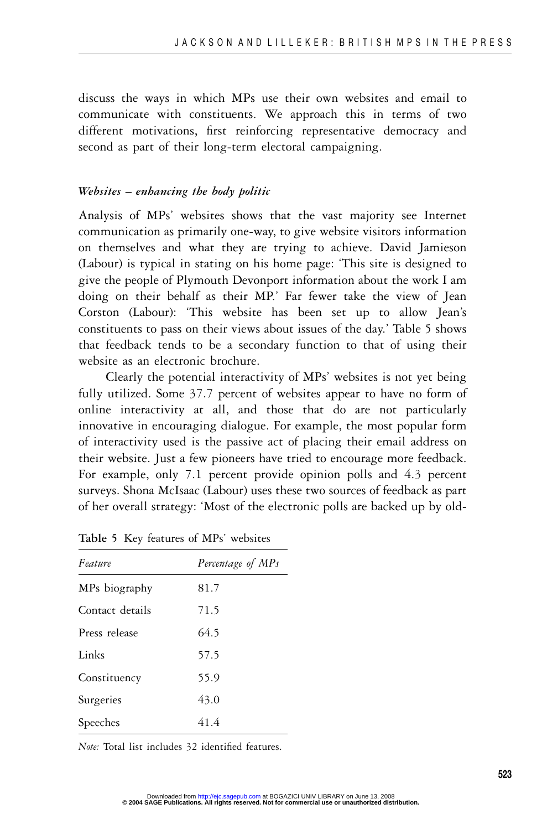discuss the ways in which MPs use their own websites and email to communicate with constituents. We approach this in terms of two different motivations, first reinforcing representative democracy and second as part of their long-term electoral campaigning.

#### *Websites – enhancing the body politic*

Analysis of MPs' websites shows that the vast majority see Internet communication as primarily one-way, to give website visitors information on themselves and what they are trying to achieve. David Jamieson (Labour) is typical in stating on his home page: 'This site is designed to give the people of Plymouth Devonport information about the work I am doing on their behalf as their MP.' Far fewer take the view of Jean Corston (Labour): 'This website has been set up to allow Jean's constituents to pass on their views about issues of the day.' Table 5 shows that feedback tends to be a secondary function to that of using their website as an electronic brochure.

Clearly the potential interactivity of MPs' websites is not yet being fully utilized. Some 37.7 percent of websites appear to have no form of online interactivity at all, and those that do are not particularly innovative in encouraging dialogue. For example, the most popular form of interactivity used is the passive act of placing their email address on their website. Just a few pioneers have tried to encourage more feedback. For example, only 7.1 percent provide opinion polls and 4.3 percent surveys. Shona McIsaac (Labour) uses these two sources of feedback as part of her overall strategy: 'Most of the electronic polls are backed up by old-

| Feature         | Percentage of MPs |
|-----------------|-------------------|
| MPs biography   | 81.7              |
| Contact details | 71.5              |
| Press release   | 64.5              |
| Links           | 57.5              |
| Constituency    | 55.9              |
| Surgeries       | 43.0              |
| Speeches        | 41.4              |

**Table 5** Key features of MPs' websites

*Note:* Total list includes 32 identified features.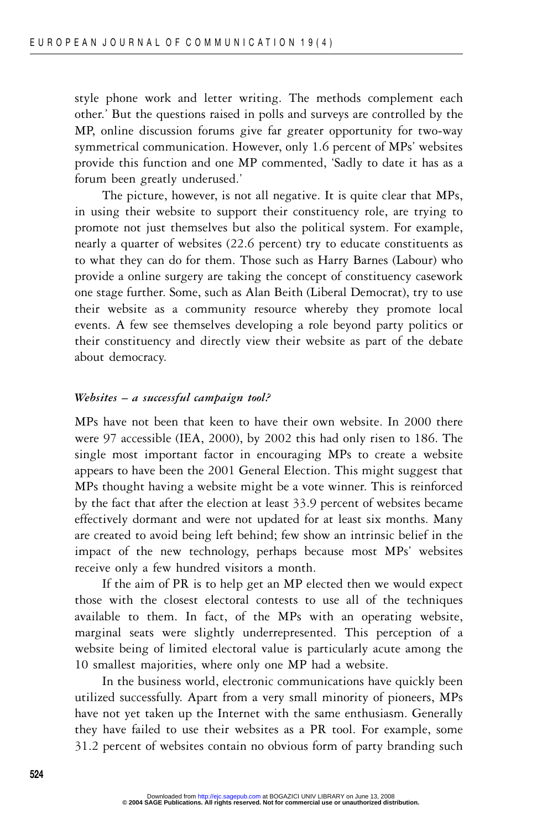style phone work and letter writing. The methods complement each other.' But the questions raised in polls and surveys are controlled by the MP, online discussion forums give far greater opportunity for two-way symmetrical communication. However, only 1.6 percent of MPs' websites provide this function and one MP commented, 'Sadly to date it has as a forum been greatly underused.'

The picture, however, is not all negative. It is quite clear that MPs, in using their website to support their constituency role, are trying to promote not just themselves but also the political system. For example, nearly a quarter of websites (22.6 percent) try to educate constituents as to what they can do for them. Those such as Harry Barnes (Labour) who provide a online surgery are taking the concept of constituency casework one stage further. Some, such as Alan Beith (Liberal Democrat), try to use their website as a community resource whereby they promote local events. A few see themselves developing a role beyond party politics or their constituency and directly view their website as part of the debate about democracy.

#### *Websites – a successful campaign tool?*

MPs have not been that keen to have their own website. In 2000 there were 97 accessible (IEA, 2000), by 2002 this had only risen to 186. The single most important factor in encouraging MPs to create a website appears to have been the 2001 General Election. This might suggest that MPs thought having a website might be a vote winner. This is reinforced by the fact that after the election at least 33.9 percent of websites became effectively dormant and were not updated for at least six months. Many are created to avoid being left behind; few show an intrinsic belief in the impact of the new technology, perhaps because most MPs' websites receive only a few hundred visitors a month.

If the aim of PR is to help get an MP elected then we would expect those with the closest electoral contests to use all of the techniques available to them. In fact, of the MPs with an operating website, marginal seats were slightly underrepresented. This perception of a website being of limited electoral value is particularly acute among the 10 smallest majorities, where only one MP had a website.

In the business world, electronic communications have quickly been utilized successfully. Apart from a very small minority of pioneers, MPs have not yet taken up the Internet with the same enthusiasm. Generally they have failed to use their websites as a PR tool. For example, some 31.2 percent of websites contain no obvious form of party branding such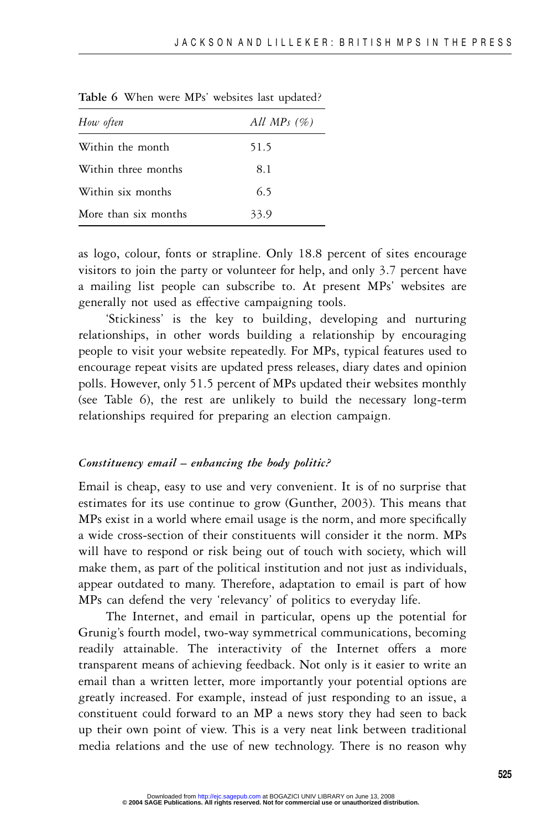| How often            | All MPs $(\%)$ |
|----------------------|----------------|
| Within the month     | 51.5           |
| Within three months  | 8.1            |
| Within six months    | 6.5            |
| More than six months | 33.9           |

**Table 6** When were MPs' websites last updated?

as logo, colour, fonts or strapline. Only 18.8 percent of sites encourage visitors to join the party or volunteer for help, and only 3.7 percent have a mailing list people can subscribe to. At present MPs' websites are generally not used as effective campaigning tools.

'Stickiness' is the key to building, developing and nurturing relationships, in other words building a relationship by encouraging people to visit your website repeatedly. For MPs, typical features used to encourage repeat visits are updated press releases, diary dates and opinion polls. However, only 51.5 percent of MPs updated their websites monthly (see Table 6), the rest are unlikely to build the necessary long-term relationships required for preparing an election campaign.

#### *Constituency email – enhancing the body politic?*

Email is cheap, easy to use and very convenient. It is of no surprise that estimates for its use continue to grow (Gunther, 2003). This means that MPs exist in a world where email usage is the norm, and more specifically a wide cross-section of their constituents will consider it the norm. MPs will have to respond or risk being out of touch with society, which will make them, as part of the political institution and not just as individuals, appear outdated to many. Therefore, adaptation to email is part of how MPs can defend the very 'relevancy' of politics to everyday life.

The Internet, and email in particular, opens up the potential for Grunig's fourth model, two-way symmetrical communications, becoming readily attainable. The interactivity of the Internet offers a more transparent means of achieving feedback. Not only is it easier to write an email than a written letter, more importantly your potential options are greatly increased. For example, instead of just responding to an issue, a constituent could forward to an MP a news story they had seen to back up their own point of view. This is a very neat link between traditional media relations and the use of new technology. There is no reason why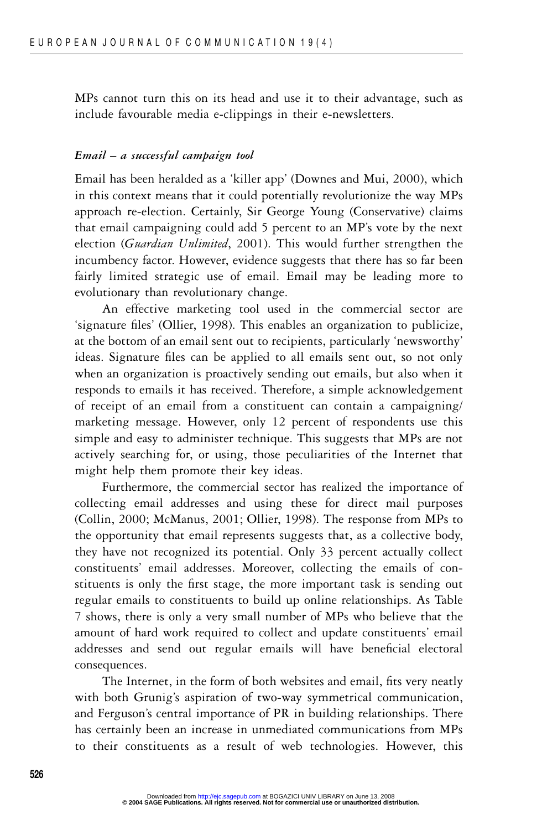MPs cannot turn this on its head and use it to their advantage, such as include favourable media e-clippings in their e-newsletters.

#### *Email – a successful campaign tool*

Email has been heralded as a 'killer app' (Downes and Mui, 2000), which in this context means that it could potentially revolutionize the way MPs approach re-election. Certainly, Sir George Young (Conservative) claims that email campaigning could add 5 percent to an MP's vote by the next election (*Guardian Unlimited*, 2001). This would further strengthen the incumbency factor. However, evidence suggests that there has so far been fairly limited strategic use of email. Email may be leading more to evolutionary than revolutionary change.

An effective marketing tool used in the commercial sector are 'signature files' (Ollier, 1998). This enables an organization to publicize, at the bottom of an email sent out to recipients, particularly 'newsworthy' ideas. Signature files can be applied to all emails sent out, so not only when an organization is proactively sending out emails, but also when it responds to emails it has received. Therefore, a simple acknowledgement of receipt of an email from a constituent can contain a campaigning/ marketing message. However, only 12 percent of respondents use this simple and easy to administer technique. This suggests that MPs are not actively searching for, or using, those peculiarities of the Internet that might help them promote their key ideas.

Furthermore, the commercial sector has realized the importance of collecting email addresses and using these for direct mail purposes (Collin, 2000; McManus, 2001; Ollier, 1998). The response from MPs to the opportunity that email represents suggests that, as a collective body, they have not recognized its potential. Only 33 percent actually collect constituents' email addresses. Moreover, collecting the emails of constituents is only the first stage, the more important task is sending out regular emails to constituents to build up online relationships. As Table 7 shows, there is only a very small number of MPs who believe that the amount of hard work required to collect and update constituents' email addresses and send out regular emails will have beneficial electoral consequences.

The Internet, in the form of both websites and email, fits very neatly with both Grunig's aspiration of two-way symmetrical communication, and Ferguson's central importance of PR in building relationships. There has certainly been an increase in unmediated communications from MPs to their constituents as a result of web technologies. However, this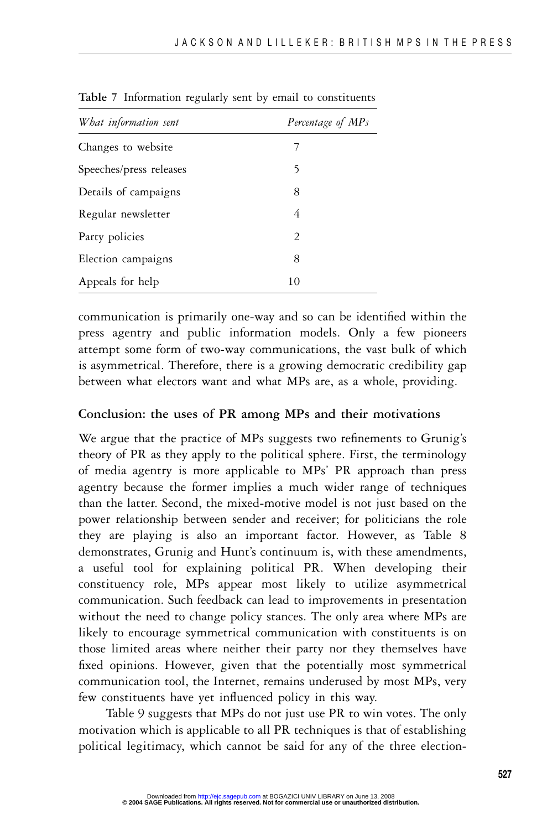| What information sent   | Percentage of MPs |
|-------------------------|-------------------|
| Changes to website      |                   |
| Speeches/press releases | 5                 |
| Details of campaigns    | 8                 |
| Regular newsletter      | 4                 |
| Party policies          | 2                 |
| Election campaigns      | 8                 |
| Appeals for help        | 10                |

**Table 7** Information regularly sent by email to constituents

communication is primarily one-way and so can be identified within the press agentry and public information models. Only a few pioneers attempt some form of two-way communications, the vast bulk of which is asymmetrical. Therefore, there is a growing democratic credibility gap between what electors want and what MPs are, as a whole, providing.

#### **Conclusion: the uses of PR among MPs and their motivations**

We argue that the practice of MPs suggests two refinements to Grunig's theory of PR as they apply to the political sphere. First, the terminology of media agentry is more applicable to MPs' PR approach than press agentry because the former implies a much wider range of techniques than the latter. Second, the mixed-motive model is not just based on the power relationship between sender and receiver; for politicians the role they are playing is also an important factor. However, as Table 8 demonstrates, Grunig and Hunt's continuum is, with these amendments, a useful tool for explaining political PR. When developing their constituency role, MPs appear most likely to utilize asymmetrical communication. Such feedback can lead to improvements in presentation without the need to change policy stances. The only area where MPs are likely to encourage symmetrical communication with constituents is on those limited areas where neither their party nor they themselves have fixed opinions. However, given that the potentially most symmetrical communication tool, the Internet, remains underused by most MPs, very few constituents have yet influenced policy in this way.

Table 9 suggests that MPs do not just use PR to win votes. The only motivation which is applicable to all PR techniques is that of establishing political legitimacy, which cannot be said for any of the three election-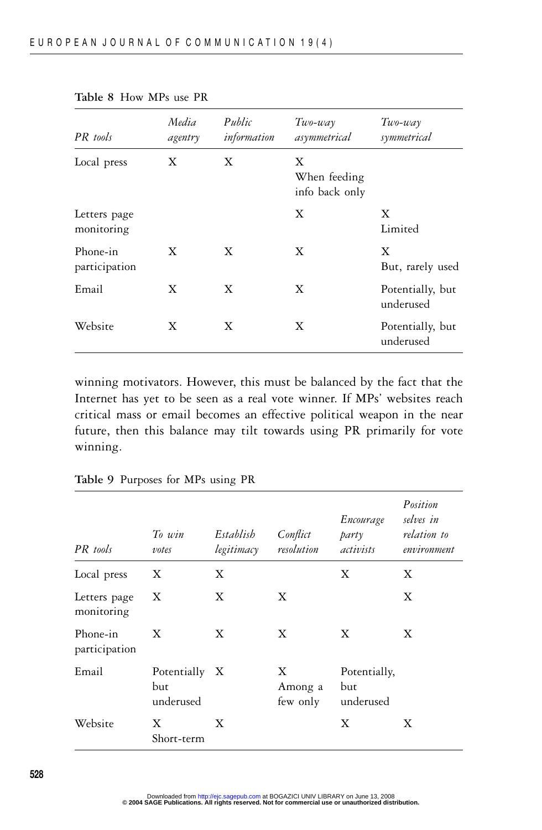| PR tools                   | Media<br>agentry | Public<br>information | $Two-way$<br>asymmetrical           | $Two-way$<br>symmetrical      |
|----------------------------|------------------|-----------------------|-------------------------------------|-------------------------------|
| Local press                | X                | X                     | X<br>When feeding<br>info back only |                               |
| Letters page<br>monitoring |                  |                       | X                                   | X<br>Limited                  |
| Phone-in<br>participation  | X                | X                     | X                                   | X<br>But, rarely used         |
| Email                      | X                | X                     | X                                   | Potentially, but<br>underused |
| Website                    | X                | X                     | X                                   | Potentially, but<br>underused |

**Table 8** How MPs use PR

winning motivators. However, this must be balanced by the fact that the Internet has yet to be seen as a real vote winner. If MPs' websites reach critical mass or email becomes an effective political weapon in the near future, then this balance may tilt towards using PR primarily for vote winning.

| PR tools                   | To win<br>votes                   | Establish<br>legitimacy | Conflict<br>resolution   | Encourage<br>party<br>activists  | Position<br>selves in<br>relation to<br>environment |
|----------------------------|-----------------------------------|-------------------------|--------------------------|----------------------------------|-----------------------------------------------------|
| Local press                | X                                 | X                       |                          | X                                | X                                                   |
| Letters page<br>monitoring | X                                 | X                       | X                        |                                  | X                                                   |
| Phone-in<br>participation  | X                                 | X                       | X                        | X                                | X                                                   |
| Email                      | Potentially X<br>but<br>underused |                         | X<br>Among a<br>few only | Potentially,<br>but<br>underused |                                                     |
| Website                    | X<br>Short-term                   | X                       |                          | X                                | Х                                                   |

**Table 9** Purposes for MPs using PR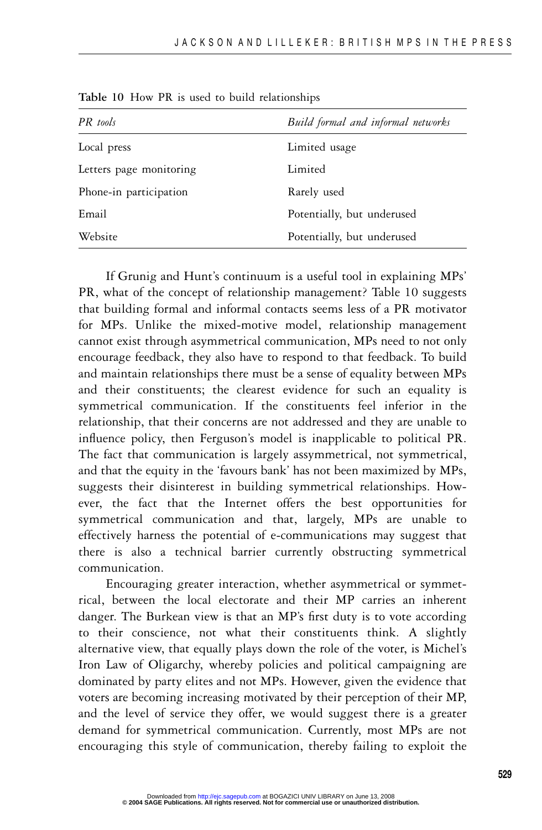| PR tools                | Build formal and informal networks |
|-------------------------|------------------------------------|
| Local press             | Limited usage                      |
| Letters page monitoring | Limited                            |
| Phone-in participation  | Rarely used                        |
| Email                   | Potentially, but underused         |
| Website                 | Potentially, but underused         |

**Table 10** How PR is used to build relationships

If Grunig and Hunt's continuum is a useful tool in explaining MPs' PR, what of the concept of relationship management? Table 10 suggests that building formal and informal contacts seems less of a PR motivator for MPs. Unlike the mixed-motive model, relationship management cannot exist through asymmetrical communication, MPs need to not only encourage feedback, they also have to respond to that feedback. To build and maintain relationships there must be a sense of equality between MPs and their constituents; the clearest evidence for such an equality is symmetrical communication. If the constituents feel inferior in the relationship, that their concerns are not addressed and they are unable to influence policy, then Ferguson's model is inapplicable to political PR. The fact that communication is largely assymmetrical, not symmetrical, and that the equity in the 'favours bank' has not been maximized by MPs, suggests their disinterest in building symmetrical relationships. However, the fact that the Internet offers the best opportunities for symmetrical communication and that, largely, MPs are unable to effectively harness the potential of e-communications may suggest that there is also a technical barrier currently obstructing symmetrical communication.

Encouraging greater interaction, whether asymmetrical or symmetrical, between the local electorate and their MP carries an inherent danger. The Burkean view is that an MP's first duty is to vote according to their conscience, not what their constituents think. A slightly alternative view, that equally plays down the role of the voter, is Michel's Iron Law of Oligarchy, whereby policies and political campaigning are dominated by party elites and not MPs. However, given the evidence that voters are becoming increasing motivated by their perception of their MP, and the level of service they offer, we would suggest there is a greater demand for symmetrical communication. Currently, most MPs are not encouraging this style of communication, thereby failing to exploit the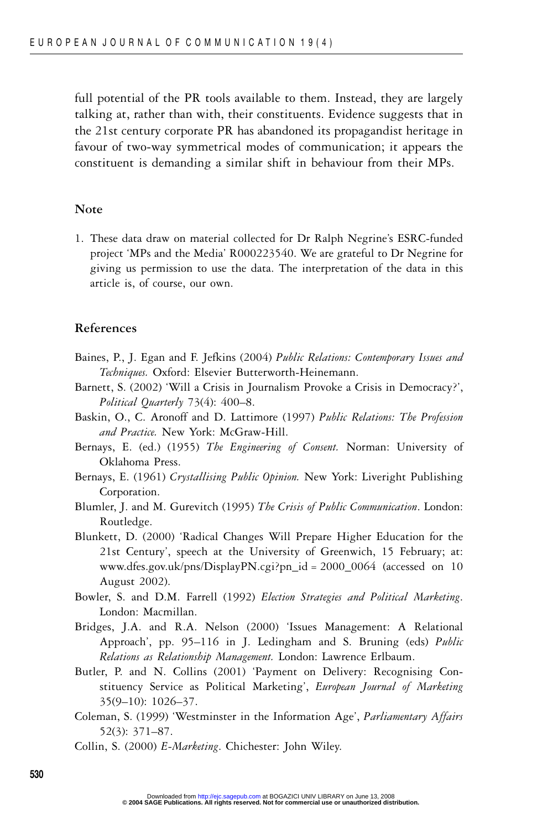full potential of the PR tools available to them. Instead, they are largely talking at, rather than with, their constituents. Evidence suggests that in the 21st century corporate PR has abandoned its propagandist heritage in favour of two-way symmetrical modes of communication; it appears the constituent is demanding a similar shift in behaviour from their MPs.

#### **Note**

1. These data draw on material collected for Dr Ralph Negrine's ESRC-funded project 'MPs and the Media' R000223540. We are grateful to Dr Negrine for giving us permission to use the data. The interpretation of the data in this article is, of course, our own.

#### **References**

- Baines, P., J. Egan and F. Jefkins (2004) *Public Relations: Contemporary Issues and Techniques.* Oxford: Elsevier Butterworth-Heinemann.
- Barnett, S. (2002) 'Will a Crisis in Journalism Provoke a Crisis in Democracy?', *Political Quarterly* 73(4): 400–8.
- Baskin, O., C. Aronoff and D. Lattimore (1997) *Public Relations: The Profession and Practice.* New York: McGraw-Hill.
- Bernays, E. (ed.) (1955) *The Engineering of Consent.* Norman: University of Oklahoma Press.
- Bernays, E. (1961) *Crystallising Public Opinion.* New York: Liveright Publishing Corporation.
- Blumler, J. and M. Gurevitch (1995) *The Crisis of Public Communication*. London: Routledge.
- Blunkett, D. (2000) 'Radical Changes Will Prepare Higher Education for the 21st Century', speech at the University of Greenwich, 15 February; at: www.dfes.gov.uk/pns/DisplayPN.cgi?pn\_id = 2000\_0064 (accessed on 10 August 2002).
- Bowler, S. and D.M. Farrell (1992) *Election Strategies and Political Marketing*. London: Macmillan.
- Bridges, J.A. and R.A. Nelson (2000) 'Issues Management: A Relational Approach', pp. 95–116 in J. Ledingham and S. Bruning (eds) *Public Relations as Relationship Management.* London: Lawrence Erlbaum.
- Butler, P. and N. Collins (2001) 'Payment on Delivery: Recognising Constituency Service as Political Marketing', *European Journal of Marketing* 35(9–10): 1026–37.
- Coleman, S. (1999) 'Westminster in the Information Age', *Parliamentary Affairs* 52(3): 371–87.

Collin, S. (2000) *E-Marketing*. Chichester: John Wiley.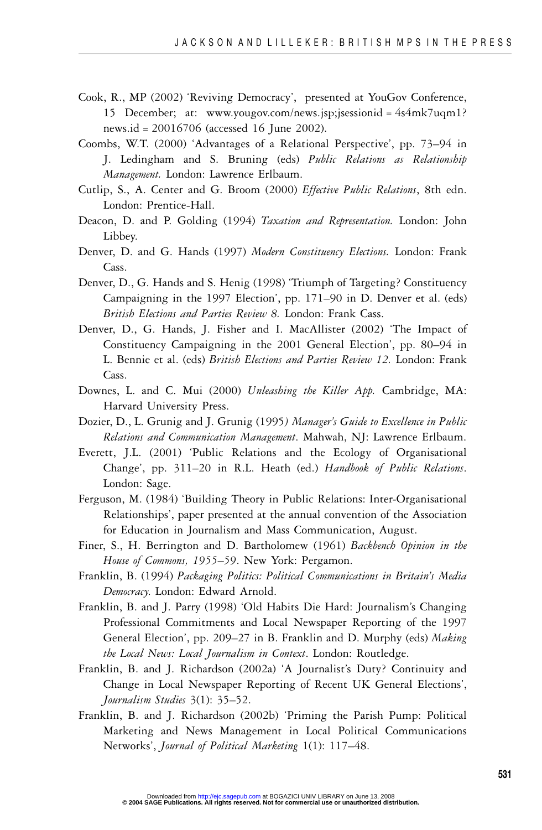- Cook, R., MP (2002) 'Reviving Democracy', presented at YouGov Conference, 15 December; at: www.yougov.com/news.jsp;jsessionid = 4s4mk7uqm1? news.id = 20016706 (accessed 16 June 2002).
- Coombs, W.T. (2000) 'Advantages of a Relational Perspective', pp. 73–94 in J. Ledingham and S. Bruning (eds) *Public Relations as Relationship Management.* London: Lawrence Erlbaum.
- Cutlip, S., A. Center and G. Broom (2000) *Effective Public Relations*, 8th edn. London: Prentice-Hall.
- Deacon, D. and P. Golding (1994) *Taxation and Representation.* London: John Libbey.
- Denver, D. and G. Hands (1997) *Modern Constituency Elections.* London: Frank Cass.
- Denver, D., G. Hands and S. Henig (1998) 'Triumph of Targeting? Constituency Campaigning in the 1997 Election', pp. 171–90 in D. Denver et al. (eds) *British Elections and Parties Review 8.* London: Frank Cass.
- Denver, D., G. Hands, J. Fisher and I. MacAllister (2002) 'The Impact of Constituency Campaigning in the 2001 General Election', pp. 80–94 in L. Bennie et al. (eds) *British Elections and Parties Review 12.* London: Frank Cass.
- Downes, L. and C. Mui (2000) *Unleashing the Killer App.* Cambridge, MA: Harvard University Press.
- Dozier, D., L. Grunig and J. Grunig (1995*) Manager's Guide to Excellence in Public Relations and Communication Management*. Mahwah, NJ: Lawrence Erlbaum.
- Everett, J.L. (2001) 'Public Relations and the Ecology of Organisational Change', pp. 311–20 in R.L. Heath (ed.) *Handbook of Public Relations*. London: Sage.
- Ferguson, M. (1984) 'Building Theory in Public Relations: Inter-Organisational Relationships', paper presented at the annual convention of the Association for Education in Journalism and Mass Communication, August.
- Finer, S., H. Berrington and D. Bartholomew (1961) *Backbench Opinion in the House of Commons, 1955–59*. New York: Pergamon.
- Franklin, B. (1994) *Packaging Politics: Political Communications in Britain's Media Democracy*. London: Edward Arnold.
- Franklin, B. and J. Parry (1998) 'Old Habits Die Hard: Journalism's Changing Professional Commitments and Local Newspaper Reporting of the 1997 General Election', pp. 209–27 in B. Franklin and D. Murphy (eds) *Making the Local News: Local Journalism in Context*. London: Routledge.
- Franklin, B. and J. Richardson (2002a) 'A Journalist's Duty? Continuity and Change in Local Newspaper Reporting of Recent UK General Elections', *Journalism Studies* 3(1): 35–52.
- Franklin, B. and J. Richardson (2002b) 'Priming the Parish Pump: Political Marketing and News Management in Local Political Communications Networks', *Journal of Political Marketing* 1(1): 117–48.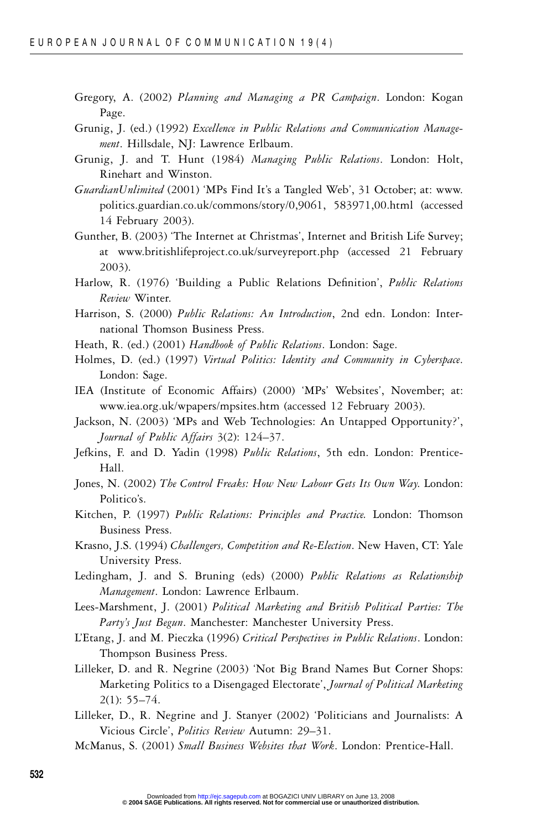- Gregory, A. (2002) *Planning and Managing a PR Campaign*. London: Kogan Page.
- Grunig, J. (ed.) (1992) *Excellence in Public Relations and Communication Management*. Hillsdale, NJ: Lawrence Erlbaum.
- Grunig, J. and T. Hunt (1984) *Managing Public Relations*. London: Holt, Rinehart and Winston.
- *GuardianUnlimited* (2001) 'MPs Find It's a Tangled Web', 31 October; at: www. politics.guardian.co.uk/commons/story/0,9061, 583971,00.html (accessed 14 February 2003).
- Gunther, B. (2003) 'The Internet at Christmas', Internet and British Life Survey; at www.britishlifeproject.co.uk/surveyreport.php (accessed 21 February 2003).
- Harlow, R. (1976) 'Building a Public Relations Definition', *Public Relations Review* Winter.
- Harrison, S. (2000) *Public Relations: An Introduction*, 2nd edn. London: International Thomson Business Press.
- Heath, R. (ed.) (2001) *Handbook of Public Relations*. London: Sage.
- Holmes, D. (ed.) (1997) *Virtual Politics: Identity and Community in Cyberspace*. London: Sage.
- IEA (Institute of Economic Affairs) (2000) 'MPs' Websites', November; at: www.iea.org.uk/wpapers/mpsites.htm (accessed 12 February 2003).
- Jackson, N. (2003) 'MPs and Web Technologies: An Untapped Opportunity?', *Journal of Public Affairs* 3(2): 124–37.
- Jefkins, F. and D. Yadin (1998) *Public Relations*, 5th edn. London: Prentice-Hall.
- Jones, N. (2002) *The Control Freaks: How New Labour Gets Its Own Way*. London: Politico's.
- Kitchen, P. (1997) *Public Relations: Principles and Practice.* London: Thomson Business Press.
- Krasno, J.S. (1994) *Challengers, Competition and Re-Election*. New Haven, CT: Yale University Press.
- Ledingham, J. and S. Bruning (eds) (2000) *Public Relations as Relationship Management*. London: Lawrence Erlbaum.
- Lees-Marshment, J. (2001) *Political Marketing and British Political Parties: The Party's Just Begun*. Manchester: Manchester University Press.
- L'Etang, J. and M. Pieczka (1996) *Critical Perspectives in Public Relations*. London: Thompson Business Press.
- Lilleker, D. and R. Negrine (2003) 'Not Big Brand Names But Corner Shops: Marketing Politics to a Disengaged Electorate', *Journal of Political Marketing*  $2(1)$ : 55–74.
- Lilleker, D., R. Negrine and J. Stanyer (2002) 'Politicians and Journalists: A Vicious Circle', *Politics Review* Autumn: 29–31.
- McManus, S. (2001) *Small Business Websites that Work*. London: Prentice-Hall.